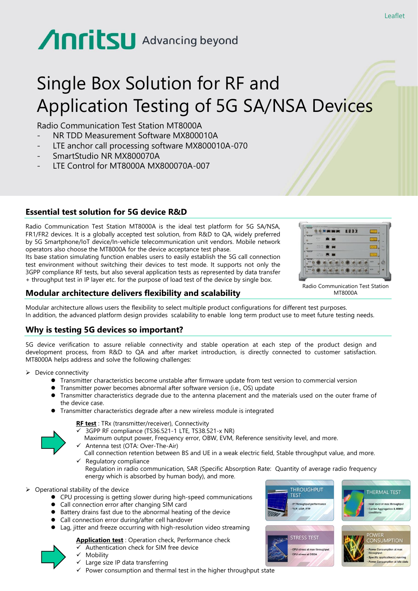# Anritsu Advancing beyond

## Single Box Solution for RF and Application Testing of 5G SA/NSA Devices

Radio Communication Test Station MT8000A

- NR TDD Measurement Software MX800010A
- LTE anchor call processing software MX800010A-070
- SmartStudio NR MX800070A
- LTE Control for MT8000A MX800070A-007

#### **Essential test solution for 5G device R&D**

Radio Communication Test Station MT8000A is the ideal test platform for 5G SA/NSA, FR1/FR2 devices. It is a globally accepted test solution, from R&D to QA, widely preferred by 5G Smartphone/IoT device/In-vehicle telecommunication unit vendors. Mobile network operators also choose the MT8000A for the device acceptance test phase.

Its base station simulating function enables users to easily establish the 5G call connection test environment without switching their devices to test mode. It supports not only the 3GPP compliance RF tests, but also several application tests as represented by data transfer + throughput test in IP layer etc. for the purpose of load test of the device by single box.

![](_page_0_Figure_10.jpeg)

Radio Communication Test Station MT8000A

#### **Modular architecture delivers flexibility and scalability**

Modular architecture allows users the flexibility to select multiple product configurations for different test purposes. In addition, the advanced platform design provides scalability to enable long term product use to meet future testing needs.

#### **Why is testing 5G devices so important?**

5G device verification to assure reliable connectivity and stable operation at each step of the product design and development process, from R&D to QA and after market introduction, is directly connected to customer satisfaction. MT8000A helps address and solve the following challenges:

➢ Device connectivity

- ⚫ Transmitter characteristics become unstable after firmware update from test version to commercial version
- ⚫ Transmitter power becomes abnormal after software version (i.e., OS) update
- ⚫ Transmitter characteristics degrade due to the antenna placement and the materials used on the outer frame of the device case.
- ⚫ Transmitter characteristics degrade after a new wireless module is integrated

**RF test** : TRx (transmitter/receiver), Connectivity

- ✓ 3GPP RF compliance (TS36.521-1 LTE, TS38.521-x NR)
- Maximum output power, Frequency error, OBW, EVM, Reference sensitivity level, and more.
- Antenna test (OTA: Over-The-Air) Call connection retention between BS and UE in a weak electric field, Stable throughput value, and more.
- $\checkmark$  Regulatory compliance Regulation in radio communication, SAR (Specific Absorption Rate: Quantity of average radio frequency energy which is absorbed by human body), and more.
- ➢ Operational stability of the device
	- CPU processing is getting slower during high-speed communications
	- ⚫ Call connection error after changing SIM card
	- Battery drains fast due to the abnormal heating of the device
	- ⚫ Call connection error during/after cell handover
	- ⚫ Lag, jitter and freeze occurring with high-resolution video streaming

#### **Application test** : Operation check, Performance check

Authentication check for SIM free device

**Mobility** 

![](_page_0_Picture_35.jpeg)

 $\checkmark$  Power consumption and thermal test in the higher throughput state

![](_page_0_Picture_37.jpeg)

CPU stress at max throughpu CPU stress at DSDA

![](_page_0_Picture_38.jpeg)